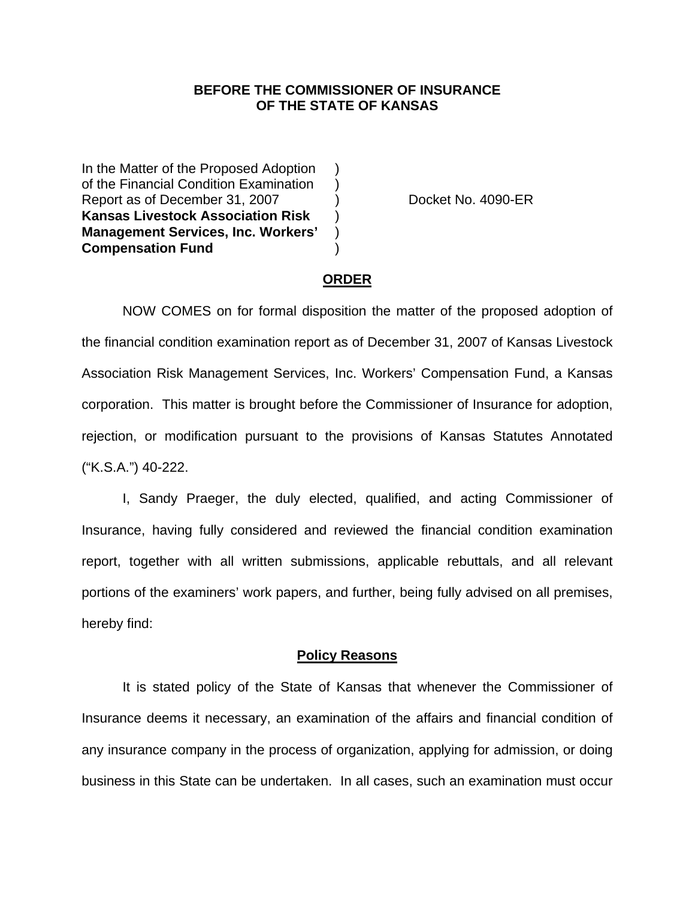## **BEFORE THE COMMISSIONER OF INSURANCE OF THE STATE OF KANSAS**

In the Matter of the Proposed Adoption of the Financial Condition Examination ) Report as of December 31, 2007 (a) Docket No. 4090-ER **Kansas Livestock Association Risk** ) **Management Services, Inc. Workers'** ) **Compensation Fund** )

### **ORDER**

 NOW COMES on for formal disposition the matter of the proposed adoption of the financial condition examination report as of December 31, 2007 of Kansas Livestock Association Risk Management Services, Inc. Workers' Compensation Fund, a Kansas corporation. This matter is brought before the Commissioner of Insurance for adoption, rejection, or modification pursuant to the provisions of Kansas Statutes Annotated ("K.S.A.") 40-222.

 I, Sandy Praeger, the duly elected, qualified, and acting Commissioner of Insurance, having fully considered and reviewed the financial condition examination report, together with all written submissions, applicable rebuttals, and all relevant portions of the examiners' work papers, and further, being fully advised on all premises, hereby find:

#### **Policy Reasons**

 It is stated policy of the State of Kansas that whenever the Commissioner of Insurance deems it necessary, an examination of the affairs and financial condition of any insurance company in the process of organization, applying for admission, or doing business in this State can be undertaken. In all cases, such an examination must occur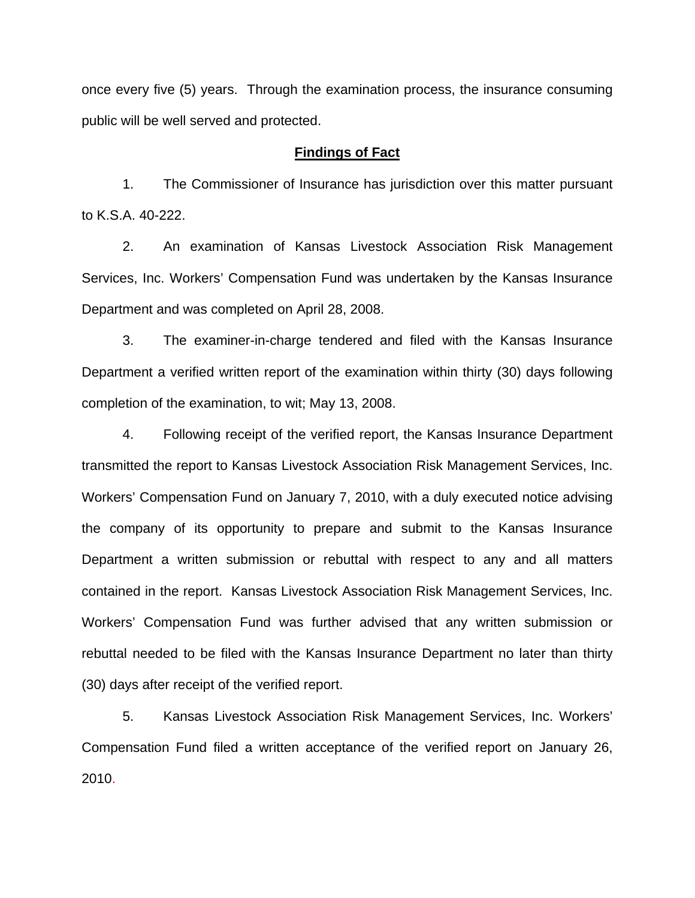once every five (5) years. Through the examination process, the insurance consuming public will be well served and protected.

#### **Findings of Fact**

 1. The Commissioner of Insurance has jurisdiction over this matter pursuant to K.S.A. 40-222.

 2. An examination of Kansas Livestock Association Risk Management Services, Inc. Workers' Compensation Fund was undertaken by the Kansas Insurance Department and was completed on April 28, 2008.

 3. The examiner-in-charge tendered and filed with the Kansas Insurance Department a verified written report of the examination within thirty (30) days following completion of the examination, to wit; May 13, 2008.

 4. Following receipt of the verified report, the Kansas Insurance Department transmitted the report to Kansas Livestock Association Risk Management Services, Inc. Workers' Compensation Fund on January 7, 2010, with a duly executed notice advising the company of its opportunity to prepare and submit to the Kansas Insurance Department a written submission or rebuttal with respect to any and all matters contained in the report. Kansas Livestock Association Risk Management Services, Inc. Workers' Compensation Fund was further advised that any written submission or rebuttal needed to be filed with the Kansas Insurance Department no later than thirty (30) days after receipt of the verified report.

 5. Kansas Livestock Association Risk Management Services, Inc. Workers' Compensation Fund filed a written acceptance of the verified report on January 26, 2010.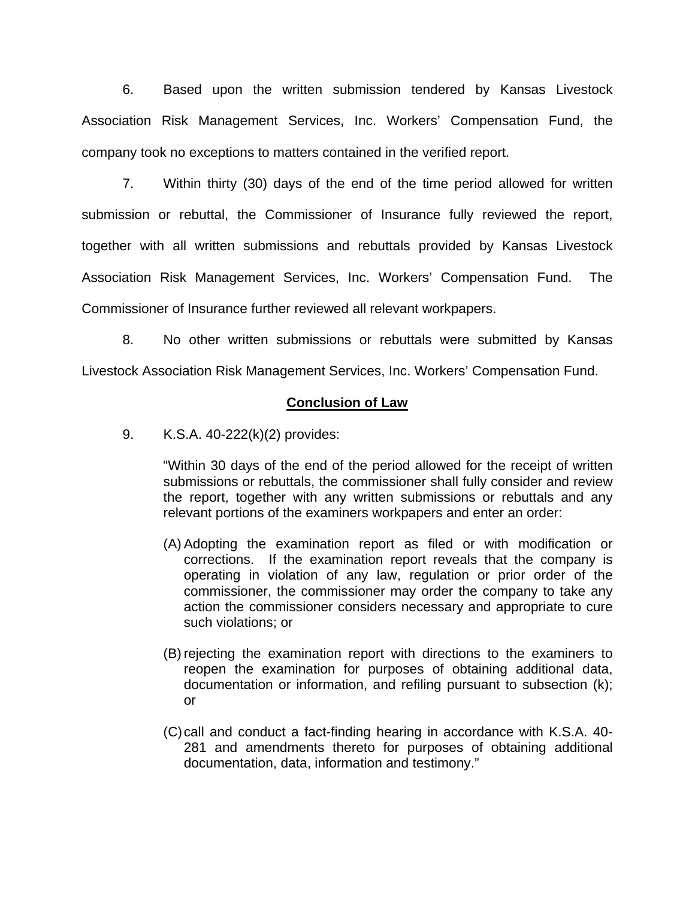6. Based upon the written submission tendered by Kansas Livestock Association Risk Management Services, Inc. Workers' Compensation Fund, the company took no exceptions to matters contained in the verified report.

 7. Within thirty (30) days of the end of the time period allowed for written submission or rebuttal, the Commissioner of Insurance fully reviewed the report, together with all written submissions and rebuttals provided by Kansas Livestock Association Risk Management Services, Inc. Workers' Compensation Fund. The Commissioner of Insurance further reviewed all relevant workpapers.

 8. No other written submissions or rebuttals were submitted by Kansas Livestock Association Risk Management Services, Inc. Workers' Compensation Fund.

## **Conclusion of Law**

9. K.S.A. 40-222(k)(2) provides:

"Within 30 days of the end of the period allowed for the receipt of written submissions or rebuttals, the commissioner shall fully consider and review the report, together with any written submissions or rebuttals and any relevant portions of the examiners workpapers and enter an order:

- (A) Adopting the examination report as filed or with modification or corrections. If the examination report reveals that the company is operating in violation of any law, regulation or prior order of the commissioner, the commissioner may order the company to take any action the commissioner considers necessary and appropriate to cure such violations; or
- (B) rejecting the examination report with directions to the examiners to reopen the examination for purposes of obtaining additional data, documentation or information, and refiling pursuant to subsection (k); or
- (C) call and conduct a fact-finding hearing in accordance with K.S.A. 40- 281 and amendments thereto for purposes of obtaining additional documentation, data, information and testimony."